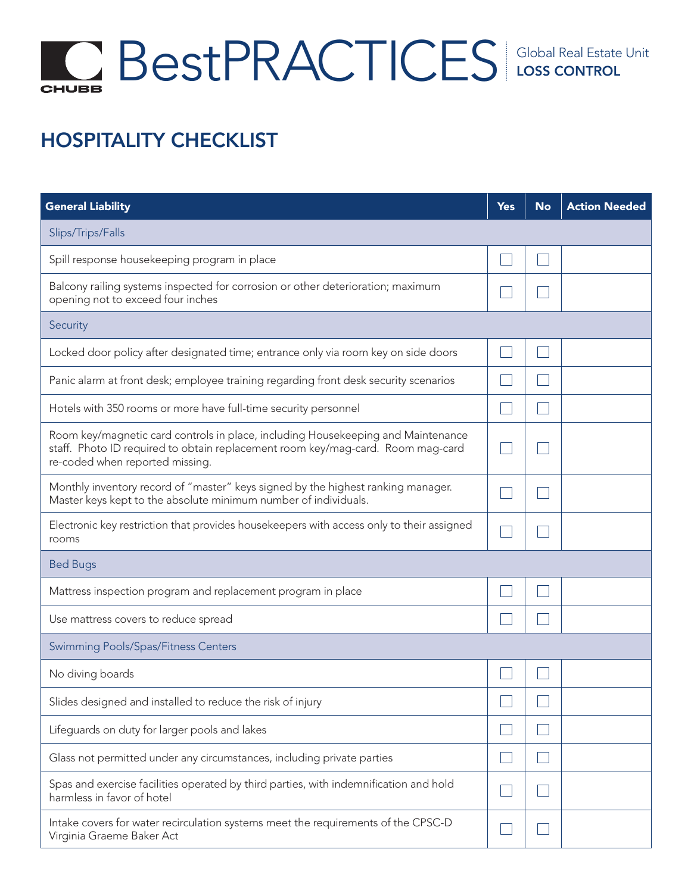## Global Real Estate Unit **CHUBB**

## HOSPITALITY CHECKLIST

| <b>General Liability</b>                                                                                                                                                                               | <b>Yes</b> | <b>No</b> | <b>Action Needed</b> |
|--------------------------------------------------------------------------------------------------------------------------------------------------------------------------------------------------------|------------|-----------|----------------------|
| Slips/Trips/Falls                                                                                                                                                                                      |            |           |                      |
| Spill response housekeeping program in place                                                                                                                                                           |            |           |                      |
| Balcony railing systems inspected for corrosion or other deterioration; maximum<br>opening not to exceed four inches                                                                                   |            |           |                      |
| Security                                                                                                                                                                                               |            |           |                      |
| Locked door policy after designated time; entrance only via room key on side doors                                                                                                                     |            |           |                      |
| Panic alarm at front desk; employee training regarding front desk security scenarios                                                                                                                   |            |           |                      |
| Hotels with 350 rooms or more have full-time security personnel                                                                                                                                        |            |           |                      |
| Room key/magnetic card controls in place, including Housekeeping and Maintenance<br>staff. Photo ID required to obtain replacement room key/mag-card. Room mag-card<br>re-coded when reported missing. |            |           |                      |
| Monthly inventory record of "master" keys signed by the highest ranking manager.<br>Master keys kept to the absolute minimum number of individuals.                                                    |            |           |                      |
| Electronic key restriction that provides housekeepers with access only to their assigned<br>rooms                                                                                                      |            |           |                      |
| <b>Bed Bugs</b>                                                                                                                                                                                        |            |           |                      |
| Mattress inspection program and replacement program in place                                                                                                                                           |            |           |                      |
| Use mattress covers to reduce spread                                                                                                                                                                   |            |           |                      |
| Swimming Pools/Spas/Fitness Centers                                                                                                                                                                    |            |           |                      |
| No diving boards                                                                                                                                                                                       |            |           |                      |
| Slides designed and installed to reduce the risk of injury                                                                                                                                             |            |           |                      |
| Lifeguards on duty for larger pools and lakes                                                                                                                                                          |            |           |                      |
| Glass not permitted under any circumstances, including private parties                                                                                                                                 |            |           |                      |
| Spas and exercise facilities operated by third parties, with indemnification and hold<br>harmless in favor of hotel                                                                                    |            |           |                      |
| Intake covers for water recirculation systems meet the requirements of the CPSC-D<br>Virginia Graeme Baker Act                                                                                         |            |           |                      |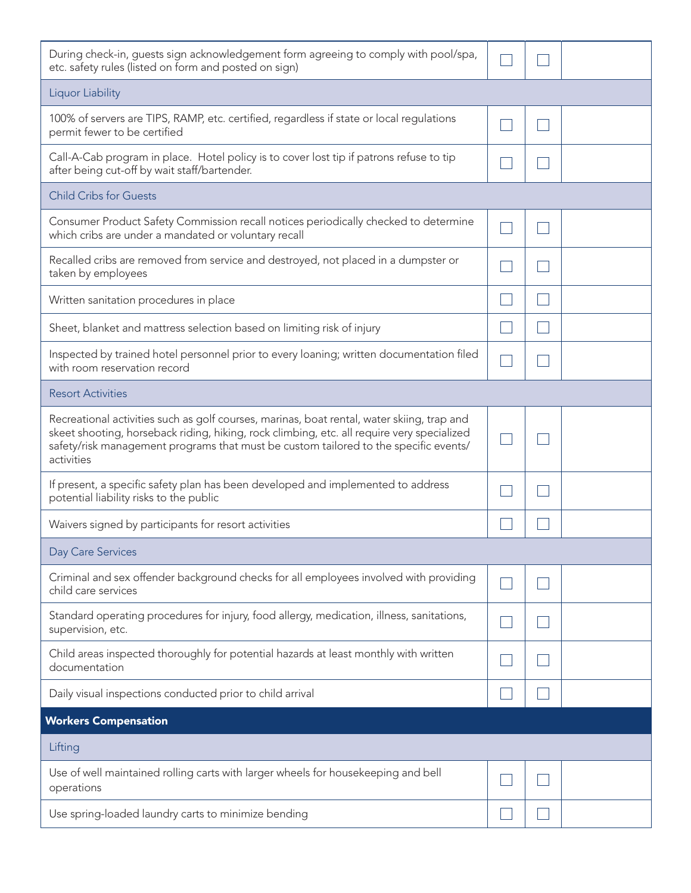| During check-in, guests sign acknowledgement form agreeing to comply with pool/spa,<br>etc. safety rules (listed on form and posted on sign)                                                                                                                                                   |  |  |
|------------------------------------------------------------------------------------------------------------------------------------------------------------------------------------------------------------------------------------------------------------------------------------------------|--|--|
| Liquor Liability                                                                                                                                                                                                                                                                               |  |  |
| 100% of servers are TIPS, RAMP, etc. certified, regardless if state or local regulations<br>permit fewer to be certified                                                                                                                                                                       |  |  |
| Call-A-Cab program in place. Hotel policy is to cover lost tip if patrons refuse to tip<br>after being cut-off by wait staff/bartender.                                                                                                                                                        |  |  |
| <b>Child Cribs for Guests</b>                                                                                                                                                                                                                                                                  |  |  |
| Consumer Product Safety Commission recall notices periodically checked to determine<br>which cribs are under a mandated or voluntary recall                                                                                                                                                    |  |  |
| Recalled cribs are removed from service and destroyed, not placed in a dumpster or<br>taken by employees                                                                                                                                                                                       |  |  |
| Written sanitation procedures in place                                                                                                                                                                                                                                                         |  |  |
| Sheet, blanket and mattress selection based on limiting risk of injury                                                                                                                                                                                                                         |  |  |
| Inspected by trained hotel personnel prior to every loaning; written documentation filed<br>with room reservation record                                                                                                                                                                       |  |  |
| <b>Resort Activities</b>                                                                                                                                                                                                                                                                       |  |  |
| Recreational activities such as golf courses, marinas, boat rental, water skiing, trap and<br>skeet shooting, horseback riding, hiking, rock climbing, etc. all require very specialized<br>safety/risk management programs that must be custom tailored to the specific events/<br>activities |  |  |
| If present, a specific safety plan has been developed and implemented to address<br>potential liability risks to the public                                                                                                                                                                    |  |  |
| Waivers signed by participants for resort activities                                                                                                                                                                                                                                           |  |  |
| <b>Day Care Services</b>                                                                                                                                                                                                                                                                       |  |  |
| Criminal and sex offender background checks for all employees involved with providing<br>child care services                                                                                                                                                                                   |  |  |
| Standard operating procedures for injury, food allergy, medication, illness, sanitations,<br>supervision, etc.                                                                                                                                                                                 |  |  |
| Child areas inspected thoroughly for potential hazards at least monthly with written<br>documentation                                                                                                                                                                                          |  |  |
| Daily visual inspections conducted prior to child arrival                                                                                                                                                                                                                                      |  |  |
| <b>Workers Compensation</b>                                                                                                                                                                                                                                                                    |  |  |
| Lifting                                                                                                                                                                                                                                                                                        |  |  |
| Use of well maintained rolling carts with larger wheels for housekeeping and bell<br>operations                                                                                                                                                                                                |  |  |
| Use spring-loaded laundry carts to minimize bending                                                                                                                                                                                                                                            |  |  |